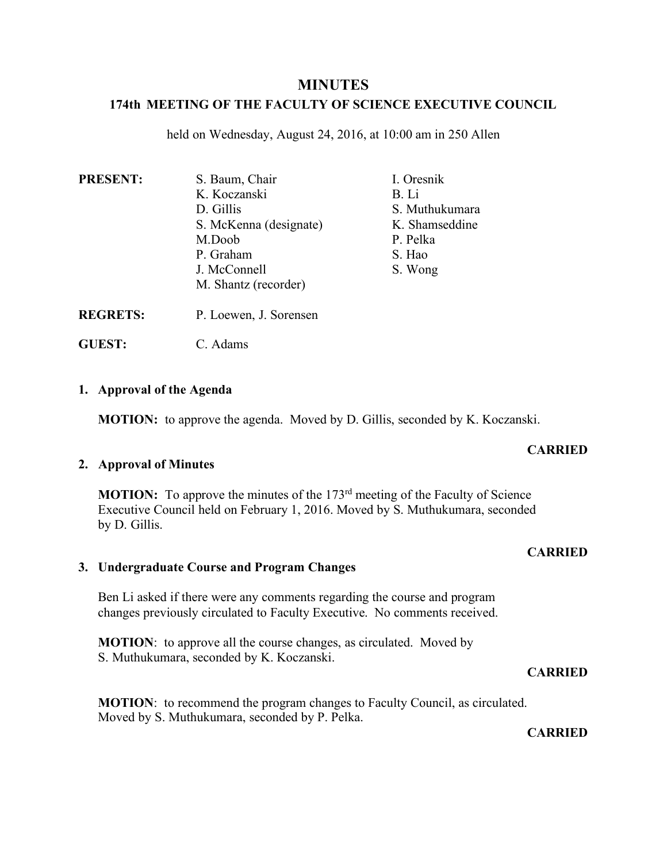# **MINUTES**

# **174th MEETING OF THE FACULTY OF SCIENCE EXECUTIVE COUNCIL**

held on Wednesday, August 24, 2016, at 10:00 am in 250 Allen

| <b>PRESENT:</b> | S. Baum, Chair         | I. Oresnik     |
|-----------------|------------------------|----------------|
|                 | K. Koczanski           | B. Li          |
|                 | D. Gillis              | S. Muthukumara |
|                 | S. McKenna (designate) | K. Shamseddine |
|                 | M.Doob                 | P. Pelka       |
|                 | P. Graham              | S. Hao         |
|                 | J. McConnell           | S. Wong        |
|                 | M. Shantz (recorder)   |                |
| <b>REGRETS:</b> | P. Loewen, J. Sorensen |                |

**GUEST:** C. Adams

### **1. Approval of the Agenda**

**MOTION:** to approve the agenda. Moved by D. Gillis, seconded by K. Koczanski.

## **2. Approval of Minutes**

**MOTION:** To approve the minutes of the 173<sup>rd</sup> meeting of the Faculty of Science Executive Council held on February 1, 2016. Moved by S. Muthukumara, seconded by D. Gillis.

### **CARRIED**

### **3. Undergraduate Course and Program Changes**

Ben Li asked if there were any comments regarding the course and program changes previously circulated to Faculty Executive. No comments received.

**MOTION:** to approve all the course changes, as circulated. Moved by S. Muthukumara, seconded by K. Koczanski.

#### **CARRIED**

**MOTION**: to recommend the program changes to Faculty Council, as circulated. Moved by S. Muthukumara, seconded by P. Pelka.

#### **CARRIED**

### **CARRIED**